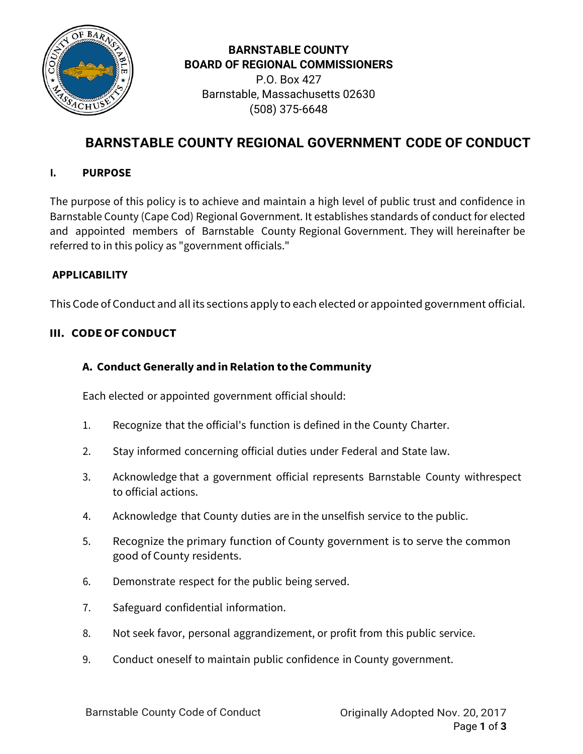

## **BARNSTABLE COUNTY BOARD OF REGIONAL COMMISSIONERS**

P.O. Box 427 Barnstable, Massachusetts 02630 (508) 375-6648

# **BARNSTABLE COUNTY REGIONAL GOVERNMENT CODE OF CONDUCT**

## **I. PURPOSE**

The purpose of this policy is to achieve and maintain a high level of public trust and confidence in Barnstable County (Cape Cod) Regional Government. It establishes standards of conduct for elected and appointed members of Barnstable County Regional Government. They will hereinafter be referred to in this policy as "government officials."

### **APPLICABILITY**

This Code of Conduct and all its sections apply to each elected or appointed government official.

## **III. CODEOF CONDUCT**

## **A. Conduct Generally and inRelation to the Community**

Each elected or appointed government official should:

- 1. Recognize that the official's function is defined in the County Charter.
- 2. Stay informed concerning official duties under Federal and State law.
- 3. Acknowledge that a government official represents Barnstable County withrespect to official actions.
- 4. Acknowledge that County duties are in the unselfish service to the public.
- 5. Recognize the primary function of County government is to serve the common good of County residents.
- 6. Demonstrate respect for the public being served.
- 7. Safeguard confidential information.
- 8. Not seek favor, personal aggrandizement, or profit from this public service.
- 9. Conduct oneself to maintain public confidence in County government.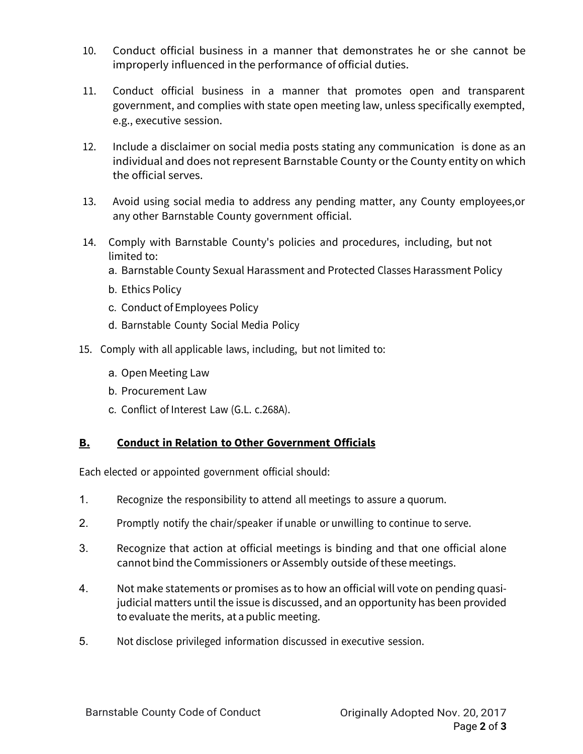- 10. Conduct official business in a manner that demonstrates he or she cannot be improperly influenced in the performance of official duties.
- 11. Conduct official business in a manner that promotes open and transparent government, and complies with state open meeting law, unless specifically exempted, e.g., executive session.
- 12. Include a disclaimer on social media posts stating any communication is done as an individual and does not represent Barnstable County or the County entity on which the official serves.
- 13. Avoid using social media to address any pending matter, any County employees,or any other Barnstable County government official.
- 14. Comply with Barnstable County's policies and procedures, including, but not limited to:
	- a. Barnstable County Sexual Harassment and Protected Classes Harassment Policy
	- b. Ethics Policy
	- c. Conduct of Employees Policy
	- d. Barnstable County Social Media Policy
- 15. Comply with all applicable laws, including, but not limited to:
	- a. Open Meeting Law
	- b. Procurement Law
	- c. Conflict of Interest Law (G.L. c.268A).

### **B. Conduct in Relation to Other Government Officials**

Each elected or appointed government official should:

- 1. Recognize the responsibility to attend all meetings to assure a quorum.
- 2. Promptly notify the chair/speaker if unable or unwilling to continue to serve.
- 3. Recognize that action at official meetings is binding and that one official alone cannot bind the Commissioners or Assembly outside ofthese meetings.
- 4. Not make statements or promises as to how an official will vote on pending quasijudicial matters until the issue is discussed, and an opportunity has been provided to evaluate the merits, at a public meeting.
- 5. Not disclose privileged information discussed in executive session.